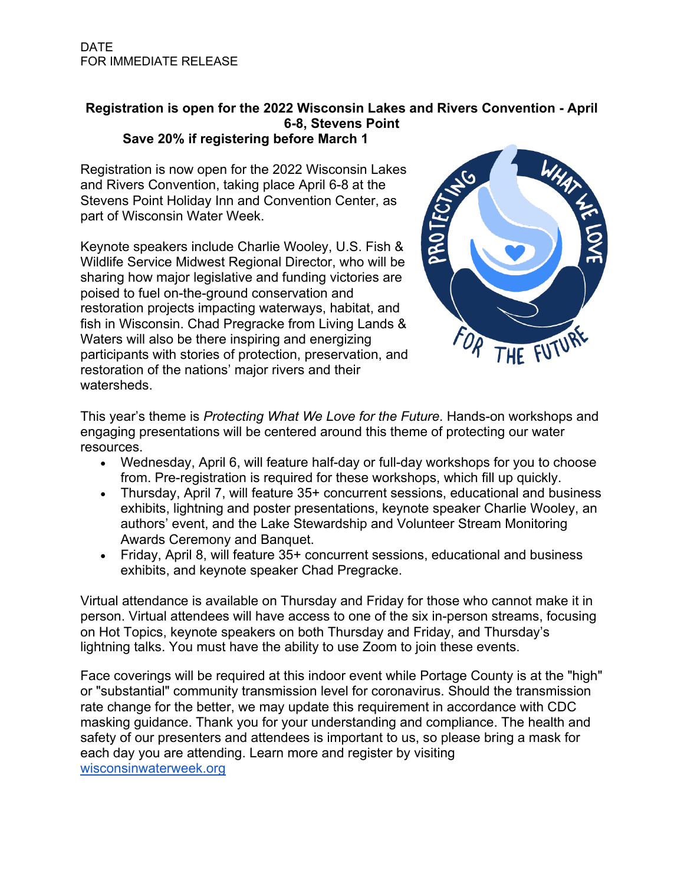## **Registration is open for the 2022 Wisconsin Lakes and Rivers Convention - April 6-8, Stevens Point**

## **Save 20% if registering before March 1**

Registration is now open for the 2022 Wisconsin Lakes and Rivers Convention, taking place April 6-8 at the Stevens Point Holiday Inn and Convention Center, as part of Wisconsin Water Week.

Keynote speakers include Charlie Wooley, U.S. Fish & Wildlife Service Midwest Regional Director, who will be sharing how major legislative and funding victories are poised to fuel on-the-ground conservation and restoration projects impacting waterways, habitat, and fish in Wisconsin. Chad Pregracke from Living Lands & Waters will also be there inspiring and energizing participants with stories of protection, preservation, and restoration of the nations' major rivers and their watersheds.



This year's theme is *Protecting What We Love for the Future*. Hands-on workshops and engaging presentations will be centered around this theme of protecting our water resources.

- Wednesday, April 6, will feature half-day or full-day workshops for you to choose from. Pre-registration is required for these workshops, which fill up quickly.
- Thursday, April 7, will feature 35+ concurrent sessions, educational and business exhibits, lightning and poster presentations, keynote speaker Charlie Wooley, an authors' event, and the Lake Stewardship and Volunteer Stream Monitoring Awards Ceremony and Banquet.
- Friday, April 8, will feature 35+ concurrent sessions, educational and business exhibits, and keynote speaker Chad Pregracke.

Virtual attendance is available on Thursday and Friday for those who cannot make it in person. Virtual attendees will have access to one of the six in-person streams, focusing on Hot Topics, keynote speakers on both Thursday and Friday, and Thursday's lightning talks. You must have the ability to use Zoom to join these events.

Face coverings will be required at this indoor event while Portage County is at the "high" or "substantial" community transmission level for coronavirus. Should the transmission rate change for the better, we may update this requirement in accordance with CDC masking guidance. Thank you for your understanding and compliance. The health and safety of our presenters and attendees is important to us, so please bring a mask for each day you are attending. Learn more and register by visiting wisconsinwaterweek.org